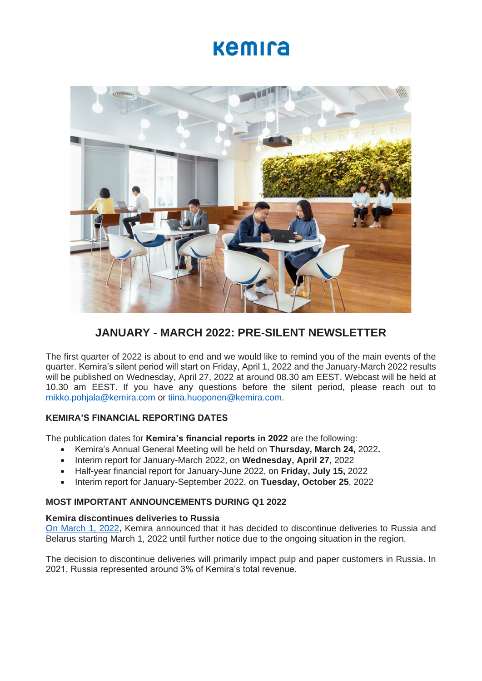# kemira



# **JANUARY - MARCH 2022: PRE-SILENT NEWSLETTER**

The first quarter of 2022 is about to end and we would like to remind you of the main events of the quarter. Kemira's silent period will start on Friday, April 1, 2022 and the January-March 2022 results will be published on Wednesday, April 27, 2022 at around 08.30 am EEST. Webcast will be held at 10.30 am EEST. If you have any questions before the silent period, please reach out to [mikko.pohjala@kemira.com](mailto:mikko.pohjala@kemira.com) or [tiina.huoponen@kemira.com.](mailto:tiina.huoponen@kemira.com)

# **KEMIRA'S FINANCIAL REPORTING DATES**

The publication dates for **Kemira's financial reports in 2022** are the following:

- Kemira's Annual General Meeting will be held on **Thursday, March 24,** 2022**.**
- Interim report for January-March 2022, on **Wednesday, April 27**, 2022
- Half-year financial report for January-June 2022, on **Friday, July 15,** 2022
- Interim report for January-September 2022, on **Tuesday, October 25**, 2022

# **MOST IMPORTANT ANNOUNCEMENTS DURING Q1 2022**

# **Kemira discontinues deliveries to Russia**

[On March 1, 2022,](https://www.kemira.com/company/media/newsroom/releases/kemira-discontinues-deliveries-to-russia/) Kemira announced that it has decided to discontinue deliveries to Russia and Belarus starting March 1, 2022 until further notice due to the ongoing situation in the region.

The decision to discontinue deliveries will primarily impact pulp and paper customers in Russia. In 2021, Russia represented around 3% of Kemira's total revenue.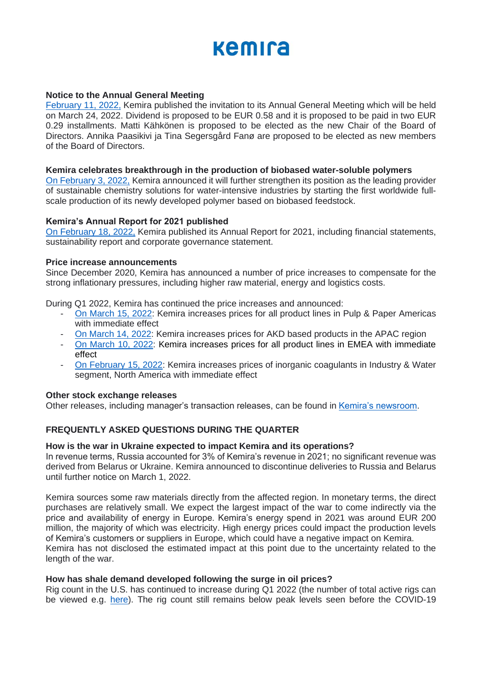# kemira

# **Notice to the Annual General Meeting**

[February 11, 2022,](https://www.kemira.com/company/media/newsroom/releases/kemira-oyj-notice-to-the-annual-general-meeting-5/) Kemira published the invitation to its Annual General Meeting which will be held on March 24, 2022. Dividend is proposed to be EUR 0.58 and it is proposed to be paid in two EUR 0.29 installments. Matti Kähkönen is proposed to be elected as the new Chair of the Board of Directors. Annika Paasikivi ja Tina Segersgård Fanø are proposed to be elected as new members of the Board of Directors.

#### **Kemira celebrates breakthrough in the production of biobased water-soluble polymers**

[On February 3, 2022,](https://www.kemira.com/company/media/newsroom/releases/kemira-celebrates-breakthrough-in-the-production-of-biobased-water-soluble-polymers/) Kemira announced it will further strengthen its position as the leading provider of sustainable chemistry solutions for water-intensive industries by starting the first worldwide fullscale production of its newly developed polymer based on biobased feedstock.

#### **Kemira's Annual Report for 2021 published**

[On February 18, 2022,](https://www.kemira.com/company/media/newsroom/releases/kemira-annual-report-2021-published/) Kemira published its Annual Report for 2021, including financial statements, sustainability report and corporate governance statement.

### **Price increase announcements**

Since December 2020, Kemira has announced a number of price increases to compensate for the strong inflationary pressures, including higher raw material, energy and logistics costs.

During Q1 2022, Kemira has continued the price increases and announced:

- [On March 15, 2022:](https://www.kemira.com/company/media/newsroom/releases/kemira-increases-prices-for-all-product-lines-in-pulp-paper-americas-with-immediate-effect/) Kemira increases prices for all product lines in Pulp & Paper Americas with immediate effect
- [On March 14, 2022:](https://www.kemira.com/company/media/newsroom/releases/kemira-increases-prices-for-akd-based-products-in-the-apac-region/) Kemira increases prices for AKD based products in the APAC region
- [On March 10, 2022:](https://www.kemira.com/company/media/newsroom/releases/kemira-increases-prices-for-all-product-lines-in-emea-with-immediate-effect/) Kemira increases prices for all product lines in EMEA with immediate effect
- [On February 15, 2022:](https://www.kemira.com/company/media/newsroom/releases/kemira-increases-prices-of-inorganic-coagulants-in-industry-water-segment-north-america-effective-immediately/) Kemira increases prices of inorganic coagulants in Industry & Water segment, North America with immediate effect

#### **Other stock exchange releases**

Other releases, including manager's transaction releases, can be found in [Kemira's newsroom.](https://www.kemira.com/company/media/newsroom/releases/kemira-oyj-announces-indicative-tender-offer-results-2/)

# **FREQUENTLY ASKED QUESTIONS DURING THE QUARTER**

#### **How is the war in Ukraine expected to impact Kemira and its operations?**

In revenue terms, Russia accounted for 3% of Kemira's revenue in 2021; no significant revenue was derived from Belarus or Ukraine. Kemira announced to discontinue deliveries to Russia and Belarus until further notice on March 1, 2022.

Kemira sources some raw materials directly from the affected region. In monetary terms, the direct purchases are relatively small. We expect the largest impact of the war to come indirectly via the price and availability of energy in Europe. Kemira's energy spend in 2021 was around EUR 200 million, the majority of which was electricity. High energy prices could impact the production levels of Kemira's customers or suppliers in Europe, which could have a negative impact on Kemira. Kemira has not disclosed the estimated impact at this point due to the uncertainty related to the length of the war.

#### **How has shale demand developed following the surge in oil prices?**

Rig count in the U.S. has continued to increase during Q1 2022 (the number of total active rigs can be viewed e.g. [here\)](https://www.wtrg.com/rigs_graphs/short/rigus.gif). The rig count still remains below peak levels seen before the COVID-19